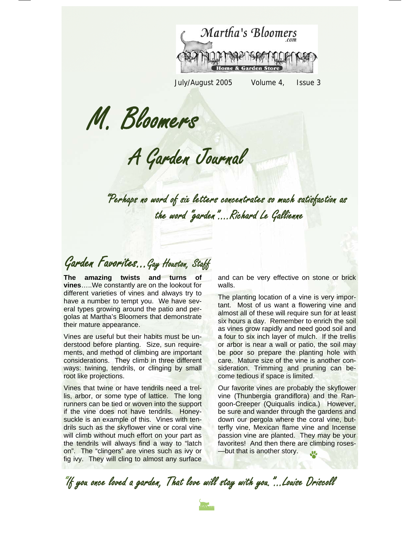

July/August 2005 Volume 4, Issue 3

M. Bloomers

A Garden Journal

"Perhaps no word of six letters concentrates so much satisfaction as the word "garden"….Richard Le Gallienne

Garden Favorites...Gay Houston, Staff

**The amazing twists and turns of vines**…..We constantly are on the lookout for different varieties of vines and always try to have a number to tempt you. We have several types growing around the patio and pergolas at Martha's Bloomers that demonstrate their mature appearance.

Vines are useful but their habits must be understood before planting. Size, sun requirements, and method of climbing are important considerations. They climb in three different ways: twining, tendrils, or clinging by small root like projections.

Vines that twine or have tendrils need a trellis, arbor, or some type of lattice. The long runners can be tied or woven into the support if the vine does not have tendrils. Honeysuckle is an example of this. Vines with tendrils such as the skyflower vine or coral vine will climb without much effort on your part as the tendrils will always find a way to "latch on". The "clingers" are vines such as ivy or fig ivy. They will cling to almost any surface and can be very effective on stone or brick walls.

The planting location of a vine is very important. Most of us want a flowering vine and almost all of these will require sun for at least six hours a day. Remember to enrich the soil as vines grow rapidly and need good soil and a four to six inch layer of mulch. If the trellis or arbor is near a wall or patio, the soil may be poor so prepare the planting hole with care. Mature size of the vine is another consideration. Trimming and pruning can become tedious if space is limited.

Our favorite vines are probably the skyflower vine (Thunbergia grandiflora) and the Rangoon-Creeper (Quiqualis indica.) However, be sure and wander through the gardens and down our pergola where the coral vine, butterfly vine, Mexican flame vine and Incense passion vine are planted. They may be your favorites! And then there are climbing roses- —but that is another story.

"If you once loved a garden, That love will stay with you."...Louise Driscoll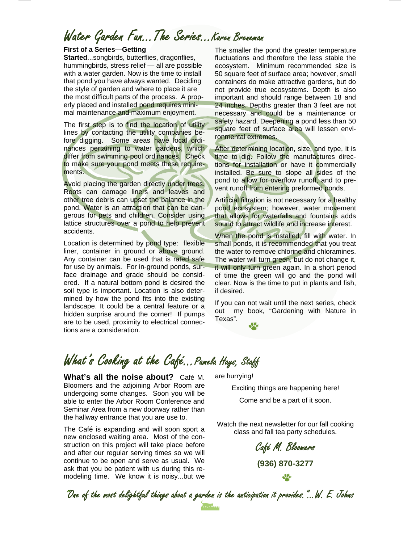## Water Garden Fun...The Series...Karen Breneman

#### **First of a Series—Getting**

**Started**...songbirds, butterflies, dragonflies, hummingbirds, stress relief — all are possible with a water garden. Now is the time to install that pond you have always wanted. Deciding the style of garden and where to place it are the most difficult parts of the process. A properly placed and installed pond requires minimal maintenance and maximum enjoyment.

The first step is to find the location of utility lines by contacting the utility companies before digging. Some areas have local ordinances pertaining to water gardens, which differ from swimming pool ordinances. Check to make sure your pond meets these requirements.

Avoid placing the garden directly under trees. Roots can damage liners and leaves and other tree debris can upset the balance in the pond. Water is an attraction that can be dangerous for pets and children. Consider using lattice structures over a pond to help prevent accidents.

Location is determined by pond type: flexible liner, container in ground or above ground. Any container can be used that is rated safe for use by animals. For in-ground ponds, surface drainage and grade should be considered. If a natural bottom pond is desired the soil type is important. Location is also determined by how the pond fits into the existing landscape. It could be a central feature or a hidden surprise around the corner! If pumps are to be used, proximity to electrical connections are a consideration.

The smaller the pond the greater temperature fluctuations and therefore the less stable the ecosystem. Minimum recommended size is 50 square feet of surface area; however, small containers do make attractive gardens, but do not provide true ecosystems. Depth is also important and should range between 18 and 24 inches. Depths greater than 3 feet are not necessary and could be a maintenance or safety hazard. Deepening a pond less than 50 square feet of surface area will lessen environmental extremes.

After determining location, size, and type, it is time to dig. Follow the manufactures directions for installation or have it commercially installed. Be sure to slope all sides of the pond to allow for overflow runoff, and to prevent runoff from entering preformed ponds.

Artificial filtration is not necessary for a healthy pond ecosystem; however, water movement that allows for waterfalls and fountains adds sound to attract wildlife and increase interest.

When the pond is installed, fill with water. In small ponds, it is recommended that you treat the water to remove chlorine and chloramines. The water will turn green, but do not change it, it will only turn green again. In a short period of time the green will go and the pond will clear. Now is the time to put in plants and fish, if desired.

If you can not wait until the next series, check out my book, "Gardening with Nature in Texas".

## What's Cooking at the Café... Pamela Hays, Staff

**What's all the noise about?** Café M. Bloomers and the adjoining Arbor Room are undergoing some changes. Soon you will be able to enter the Arbor Room Conference and Seminar Area from a new doorway rather than the hallway entrance that you are use to.

The Café is expanding and will soon sport a new enclosed waiting area. Most of the construction on this project will take place before and after our regular serving times so we will continue to be open and serve as usual. We ask that you be patient with us during this remodeling time. We know it is noisy...but we are hurrying!

Exciting things are happening here! Come and be a part of it soon.

Watch the next newsletter for our fall cooking class and fall tea party schedules.

> Café M. Bloomers **(936) 870-3277**  SQ.

"One of the most delightful things about a garden is the anticipation it provides."...W. E. Johns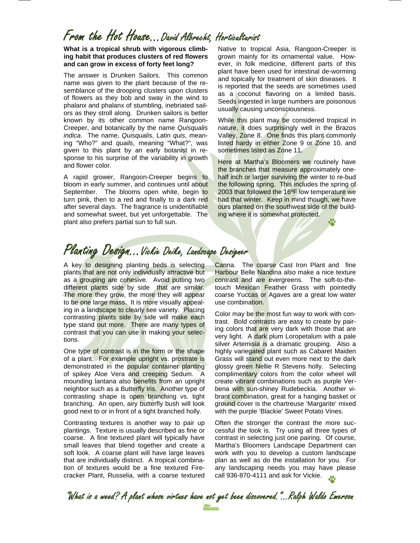### From the Hot House...David Albrecht, Horticulturist

**What is a tropical shrub with vigorous climbing habit that produces clusters of red flowers and can grow in excess of forty feet long?** 

The answer is Drunken Sailors. This common name was given to the plant because of the resemblance of the drooping clusters upon clusters of flowers as they bob and sway in the wind to phalanx and phalanx of stumbling, inebriated sailors as they stroll along. Drunken sailors is better known by its other common name Rangoon-Creeper, and botanically by the name *Quisqualis indica*. The name, *Quisqualis*, Latin *quis*, meaning "Who?" and *quails*, meaning "What?", was given to this plant by an early botanist in response to his surprise of the variability in growth and flower color.

A rapid grower, Rangoon-Creeper begins to bloom in early summer, and continues until about September. The blooms open white, begin to turn pink, then to a red and finally to a dark red after several days. The fragrance is unidentifiable and somewhat sweet, but yet unforgettable. The plant also prefers partial sun to full sun.

Native to tropical Asia, Rangoon-Creeper is grown mainly for its ornamental value. However, in folk medicine, different parts of this plant have been used for intestinal de-worming and topically for treatment of skin diseases. It is reported that the seeds are sometimes used as a coconut flavoring on a limited basis. Seeds ingested in large numbers are poisonous usually causing unconsciousness.

While this plant may be considered tropical in nature, it does surprisingly well in the Brazos Valley, Zone 8. One finds this plant commonly listed hardy in either Zone 9 or Zone 10, and sometimes listed as Zone 11.

Here at Martha's Bloomers we routinely have the branches that measure approximately onehalf inch or larger surviving the winter to re-bud the following spring. This includes the spring of 2003 that followed the 16ºF low temperature we had that winter. Keep in mind though, we have ours planted on the southwest side of the building where it is somewhat protected.

#### Planting Design...Vickie Deike, Landscape Designer

A key to designing planting beds is selecting plants that are not only individually attractive but as a grouping are cohesive. Avoid putting two different plants side by side that are similar. The more they grow, the more they will appear to be one large mass. It is more visually appealing in a landscape to clearly see variety. Placing contrasting plants side by side will make each type stand out more. There are many types of contrast that you can use in making your selections.

One type of contrast is in the form or the shape of a plant. For example upright vs. prostrate is demonstrated in the popular container planting of spikey Aloe Vera and creeping Sedum. A mounding lantana also benefits from an upright neighbor such as a Butterfly Iris. Another type of contrasting shape is open branching vs. tight branching. An open, airy butterfly bush will look good next to or in front of a tight branched holly.

Contrasting textures is another way to pair up plantings. Texture is usually described as fine or coarse. A fine textured plant will typically have small leaves that blend together and create a soft look. A coarse plant will have large leaves that are individually distinct. A tropical combination of textures would be a fine textured Firecracker Plant, Russelia, with a coarse textured

Canna. The coarse Cast Iron Plant and fine Harbour Belle Nandina also make a nice texture contrast and are evergreens. The soft-to-thetouch Mexican Feather Grass with pointedly coarse Yuccas or Agaves are a great low water use combination.

Color may be the most fun way to work with contrast. Bold contrasts are easy to create by pairing colors that are very dark with those that are very light. A dark plum Loropetalum with a pale silver Artemisia is a dramatic grouping. Also a highly variegated plant such as Cabaret Maiden Grass will stand out even more next to the dark glossy green Nellie R Stevens holly. Selecting complimentary colors from the color wheel will create vibrant combinations such as purple Verbena with sun-shiney Rudebeckia. Another vibrant combination, great for a hanging basket or ground cover is the chartreuse 'Margarite' mixed with the purple 'Blackie' Sweet Potato Vines.

Often the stronger the contrast the more successful the look is. Try using all three types of contrast in selecting just one pairing. Of course, Martha's Bloomers Landscape Department can work with you to develop a custom landscape plan as well as do the installation for you. For any landscaping needs you may have please call 936-870-4111 and ask for Vickie.

"What is a weed? A plant whose virtues have not yet been discovered."...Ralph Waldo Emerson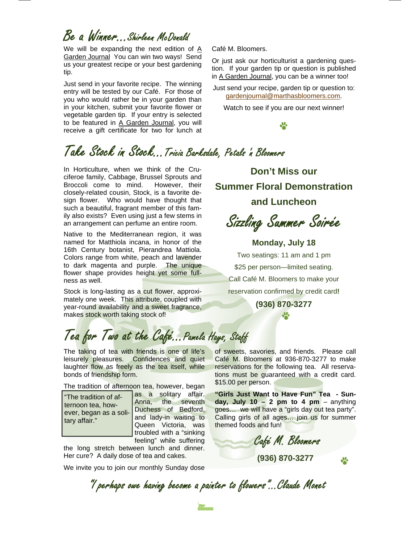## Be a Winner…Shirleen McDonald

We will be expanding the next edition of A Garden Journal You can win two ways! Send us your greatest recipe or your best gardening tip.

Just send in your favorite recipe. The winning entry will be tested by our Café. For those of you who would rather be in your garden than in your kitchen, submit your favorite flower or vegetable garden tip. If your entry is selected to be featured in A Garden Journal, you will receive a gift certificate for two for lunch at

Café M. Bloomers.

Or just ask our horticulturist a gardening question. If your garden tip or question is published in A Garden Journal, you can be a winner too!

Just send your recipe, garden tip or question to: gardenjournal@marthasbloomers.com.

Watch to see if you are our next winner!

## Take Stock in Stock...Tricia Barksdale, Petals 'n Bloomers

In Horticulture, when we think of the Cruciferoe family, Cabbage, Brussel Sprouts and Broccoli come to mind. However, their closely-related cousin, Stock, is a favorite design flower. Who would have thought that such a beautiful, fragrant member of this family also exists? Even using just a few stems in an arrangement can perfume an entire room.

Native to the Mediterranean region, it was named for Matthiola incana, in honor of the 16th Century botanist, Pierandrea Mattiola. Colors range from white, peach and lavender to dark magenta and purple. The unique flower shape provides height yet some fullness as well.

Stock is long-lasting as a cut flower, approximately one week. This attribute, coupled with year-round availability and a sweet fragrance, makes stock worth taking stock of!

**Don't Miss our Summer Floral Demonstration and Luncheon** 

Sizzling Summer Soirée

**Monday, July 18** 

Two seatings: 11 am and 1 pm \$25 per person—limited seating. Call Café M. Bloomers to make your reservation confirmed by credit card**! (936) 870-3277** 

J.

# Tea for Two at the Café...Pamela Hays, Staff

The taking of tea with friends is one of life's leisurely pleasures. Confidences and quiet laughter flow as freely as the tea itself, while bonds of friendship form.

The tradition of afternoon tea, however, began

"The tradition of afternoon tea, however, began as a solitary affair."

as a solitary affair. Anna, the seventh Duchess of Bedford, and lady-in waiting to Queen Victoria, was troubled with a "sinking feeling" while suffering

the long stretch between lunch and dinner. Her cure? A daily dose of tea and cakes.

We invite you to join our monthly Sunday dose

of sweets, savories, and friends. Please call Café M. Bloomers at 936-870-3277 to make reservations for the following tea. All reservations must be guaranteed with a credit card. \$15.00 per person.

**"Girls Just Want to Have Fun" Tea - Sunday, July 10 – 2 pm to 4 pm** – anything goes… we will have a "girls day out tea party". Calling girls of all ages… join us for summer themed foods and fun!

Café M. Bloomers

**(936) 870-3277** 

**SP** 

"I perhaps owe having become a painter to flowers"...Claude Monet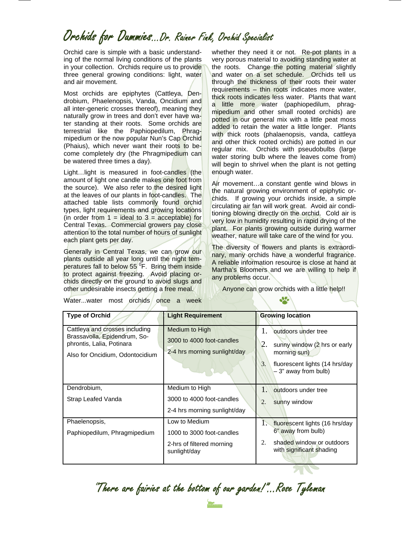#### Orchids for Dummies...Dr. Rainer Fink, Orchid Specialist

Orchid care is simple with a basic understanding of the normal living conditions of the plants in your collection. Orchids require us to provide three general growing conditions: light, water and air movement.

Most orchids are epiphytes (Cattleya, Dendrobium, Phaelenopsis, Vanda, Oncidium and all inter-generic crosses thereof), meaning they naturally grow in trees and don't ever have water standing at their roots. Some orchids are terrestrial like the Paphiopedilum, Phragmipedium or the now popular Nun's Cap Orchid (Phaius), which never want their roots to become completely dry (the Phragmipedium can be watered three times a day).

Light...light is measured in foot-candles (the amount of light one candle makes one foot from the source). We also refer to the desired light at the leaves of our plants in foot-candles. The attached table lists commonly found orchid types, light requirements and growing locations (in order from  $1 =$  ideal to  $3 =$  acceptable) for Central Texas. Commercial growers pay close attention to the total number of hours of sunlight each plant gets per day.

Generally in Central Texas, we can grow our plants outside all year long until the night temperatures fall to below 55<sup>°</sup>F. Bring them inside to protect against freezing. Avoid placing orchids directly on the ground to avoid slugs and other undesirable insects getting a free meal.

whether they need it or not. Re-pot plants in a very porous material to avoiding standing water at the roots. Change the potting material slightly and water on a set schedule. Orchids tell us through the thickness of their roots their water requirements – thin roots indicates more water, thick roots indicates less water. Plants that want a little more water (paphiopedilum, phragmipedium and other small rooted orchids) are potted in our general mix with a little peat moss added to retain the water a little longer. Plants with thick roots (phalaenopsis, vanda, cattleya and other thick rooted orchids) are potted in our regular mix. Orchids with pseudobulbs (large water storing bulb where the leaves come from) will begin to shrivel when the plant is not getting enough water.

Air movement…a constant gentle wind blows in the natural growing environment of epiphytic orchids. If growing your orchids inside, a simple circulating air fan will work great. Avoid air conditioning blowing directly on the orchid. Cold air is very low in humidity resulting in rapid drying of the plant. For plants growing outside during warmer weather, nature will take care of the wind for you.

The diversity of flowers and plants is extraordinary, many orchids have a wonderful fragrance. A reliable information resource is close at hand at Martha's Bloomers and we are willing to help if any problems occur.

Anyone can grow orchids with a little help!!

Water...water most orchids once a week

| <b>Type of Orchid</b>                                                                                                          | <b>Light Requirement</b>                                                    | <b>Growing location</b>                                                                                                                                |
|--------------------------------------------------------------------------------------------------------------------------------|-----------------------------------------------------------------------------|--------------------------------------------------------------------------------------------------------------------------------------------------------|
| Cattleya and crosses including<br>Brassavolla, Epidendrum, So-<br>phrontis, Lalia, Potinara<br>Also for Oncidium, Odontocidium | Medium to High<br>3000 to 4000 foot-candles<br>2-4 hrs morning sunlight/day | $1_{-}$<br>outdoors under tree<br>2.<br>sunny window (2 hrs or early<br>morning sun)<br>fluorescent lights (14 hrs/day<br>3.<br>$-3$ " away from bulb) |
| Dendrobium,                                                                                                                    | Medium to High                                                              | $1\lambda$<br>outdoors under tree                                                                                                                      |
| Strap Leafed Vanda                                                                                                             | 3000 to 4000 foot-candles                                                   | sunny window<br>2.                                                                                                                                     |
|                                                                                                                                | 2-4 hrs morning sunlight/day                                                |                                                                                                                                                        |
| Phaelenopsis,                                                                                                                  | Low to Medium                                                               | T.<br>fluorescent lights (16 hrs/day                                                                                                                   |
| Paphiopedilum, Phragmipedium                                                                                                   | 1000 to 3000 foot-candles                                                   | 6" away from bulb)                                                                                                                                     |
|                                                                                                                                | 2-hrs of filtered morning<br>sunlight/day                                   | shaded window or outdoors<br>2.<br>with significant shading                                                                                            |

"There are fairies at the bottom of our garden!"...Rose Tyleman